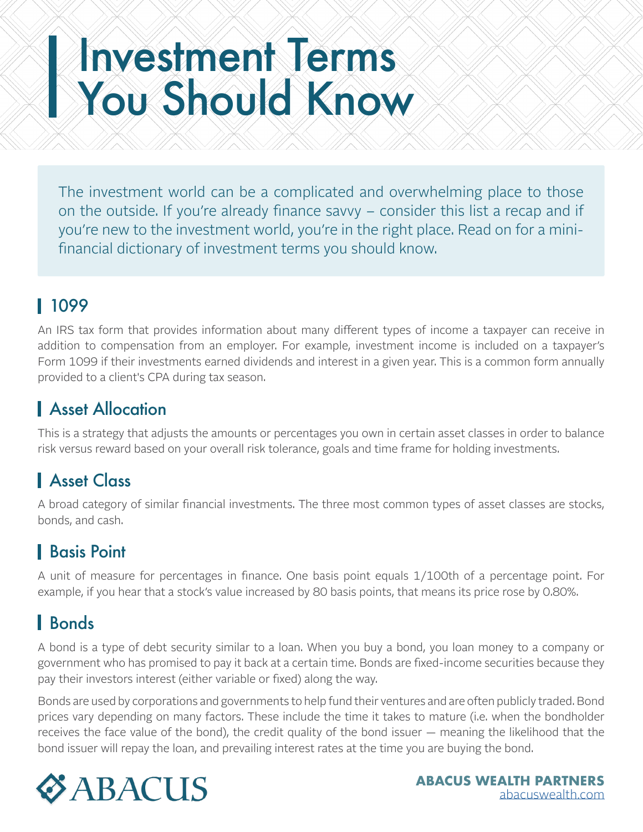# Investment Terms You Should Know

The investment world can be a complicated and overwhelming place to those on the outside. If you're already finance savvy – consider this list a recap and if you're new to the investment world, you're in the right place. Read on for a minifinancial dictionary of investment terms you should know.

### 1099

An IRS tax form that provides information about many different types of income a taxpayer can receive in addition to compensation from an employer. For example, investment income is included on a taxpayer's Form 1099 if their investments earned dividends and interest in a given year. This is a common form annually provided to a client's CPA during tax season.

### **Asset Allocation**

This is a strategy that adjusts the amounts or percentages you own in certain asset classes in order to balance risk versus reward based on your overall risk tolerance, goals and time frame for holding investments.

# Asset Class

A broad category of similar financial investments. The three most common types of asset classes are stocks, bonds, and cash.

# Basis Point

A unit of measure for percentages in finance. One basis point equals 1/100th of a percentage point. For example, if you hear that a stock's value increased by 80 basis points, that means its price rose by 0.80%.

# Bonds

A bond is a type of debt security similar to a loan. When you buy a bond, you loan money to a company or government who has promised to pay it back at a certain time. Bonds are fixed-income securities because they pay their investors interest (either variable or fixed) along the way.

Bonds are used by corporations and governments to help fund their ventures and are often publicly traded. Bond prices vary depending on many factors. These include the time it takes to mature (i.e. when the bondholder receives the face value of the bond), the credit quality of the bond issuer — meaning the likelihood that the bond issuer will repay the loan, and prevailing interest rates at the time you are buying the bond.

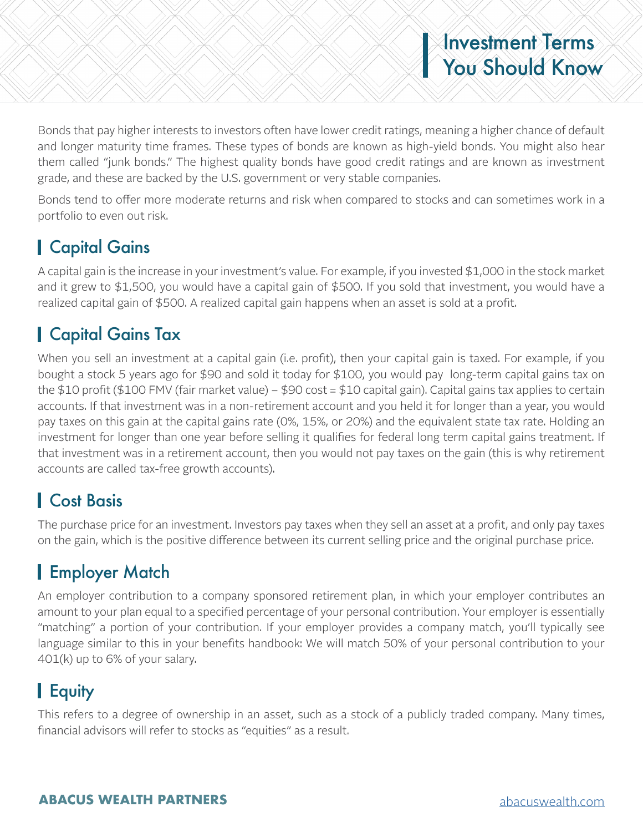# Investment Terms You Should Know

Bonds that pay higher interests to investors often have lower credit ratings, meaning a higher chance of default and longer maturity time frames. These types of bonds are known as high-yield bonds. You might also hear them called "junk bonds." The highest quality bonds have good credit ratings and are known as investment grade, and these are backed by the U.S. government or very stable companies.

Bonds tend to offer more moderate returns and risk when compared to stocks and can sometimes work in a portfolio to even out risk.

#### Capital Gains

A capital gain is the increase in your investment's value. For example, if you invested \$1,000 in the stock market and it grew to \$1,500, you would have a capital gain of \$500. If you sold that investment, you would have a realized capital gain of \$500. A realized capital gain happens when an asset is sold at a profit.

### Capital Gains Tax

When you sell an investment at a capital gain (i.e. profit), then your capital gain is taxed. For example, if you bought a stock 5 years ago for \$90 and sold it today for \$100, you would pay long-term capital gains tax on the \$10 profit (\$100 FMV (fair market value) – \$90 cost = \$10 capital gain). Capital gains tax applies to certain accounts. If that investment was in a non-retirement account and you held it for longer than a year, you would pay taxes on this gain at the capital gains rate (0%, 15%, or 20%) and the equivalent state tax rate. Holding an investment for longer than one year before selling it qualifies for federal long term capital gains treatment. If that investment was in a retirement account, then you would not pay taxes on the gain (this is why retirement accounts are called tax-free growth accounts).

#### Cost Basis

The purchase price for an investment. Investors pay taxes when they sell an asset at a profit, and only pay taxes on the gain, which is the positive difference between its current selling price and the original purchase price.

# Employer Match

An employer contribution to a company sponsored retirement plan, in which your employer contributes an amount to your plan equal to a specified percentage of your personal contribution. Your employer is essentially "matching" a portion of your contribution. If your employer provides a company match, you'll typically see language similar to this in your benefits handbook: We will match 50% of your personal contribution to your 401(k) up to 6% of your salary.

# Equity

This refers to a degree of ownership in an asset, such as a stock of a publicly traded company. Many times, financial advisors will refer to stocks as "equities" as a result.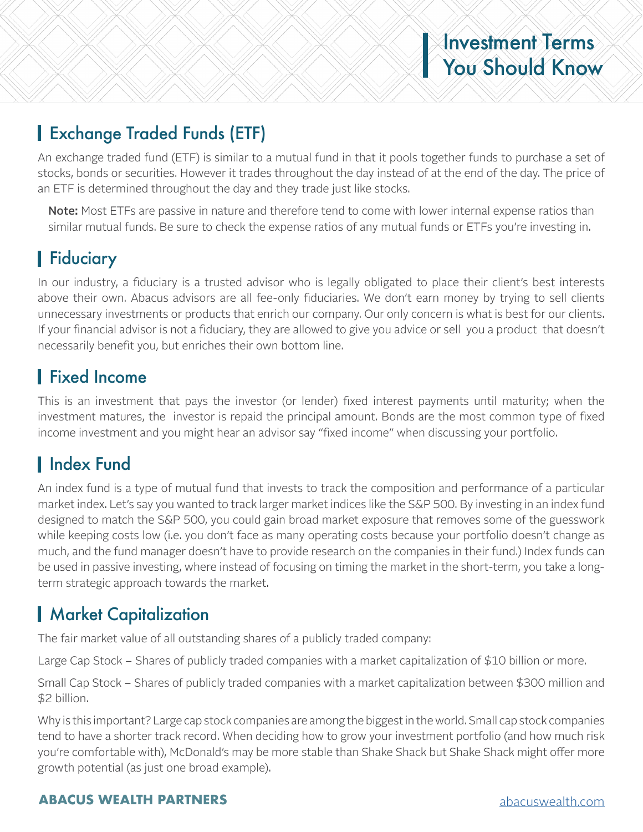#### Exchange Traded Funds (ETF)

An exchange traded fund (ETF) is similar to a mutual fund in that it pools together funds to purchase a set of stocks, bonds or securities. However it trades throughout the day instead of at the end of the day. The price of an ETF is determined throughout the day and they trade just like stocks.

Note: Most ETFs are passive in nature and therefore tend to come with lower internal expense ratios than similar mutual funds. Be sure to check the expense ratios of any mutual funds or ETFs you're investing in.

# **Fiduciary**

In our industry, a fiduciary is a trusted advisor who is legally obligated to place their client's best interests above their own. Abacus advisors are all fee-only fiduciaries. We don't earn money by trying to sell clients unnecessary investments or products that enrich our company. Our only concern is what is best for our clients. If your financial advisor is not a fiduciary, they are allowed to give you advice or sell you a product that doesn't necessarily benefit you, but enriches their own bottom line.

#### Fixed Income

This is an investment that pays the investor (or lender) fixed interest payments until maturity; when the investment matures, the investor is repaid the principal amount. Bonds are the most common type of fixed income investment and you might hear an advisor say "fixed income" when discussing your portfolio.

#### **I** Index Fund

An index fund is a type of mutual fund that invests to track the composition and performance of a particular market index. Let's say you wanted to track larger market indices like the S&P 500. By investing in an index fund designed to match the S&P 500, you could gain broad market exposure that removes some of the guesswork while keeping costs low (i.e. you don't face as many operating costs because your portfolio doesn't change as much, and the fund manager doesn't have to provide research on the companies in their fund.) Index funds can be used in passive investing, where instead of focusing on timing the market in the short-term, you take a longterm strategic approach towards the market.

#### **Market Capitalization**

The fair market value of all outstanding shares of a publicly traded company:

Large Cap Stock – Shares of publicly traded companies with a market capitalization of \$10 billion or more.

Small Cap Stock – Shares of publicly traded companies with a market capitalization between \$300 million and \$2 billion.

Why is this important? Large cap stock companies are among the biggest in the world. Small cap stock companies tend to have a shorter track record. When deciding how to grow your investment portfolio (and how much risk you're comfortable with), McDonald's may be more stable than Shake Shack but Shake Shack might offer more growth potential (as just one broad example).

#### **ABACUS WEALTH PARTNERS** abacuswealth.com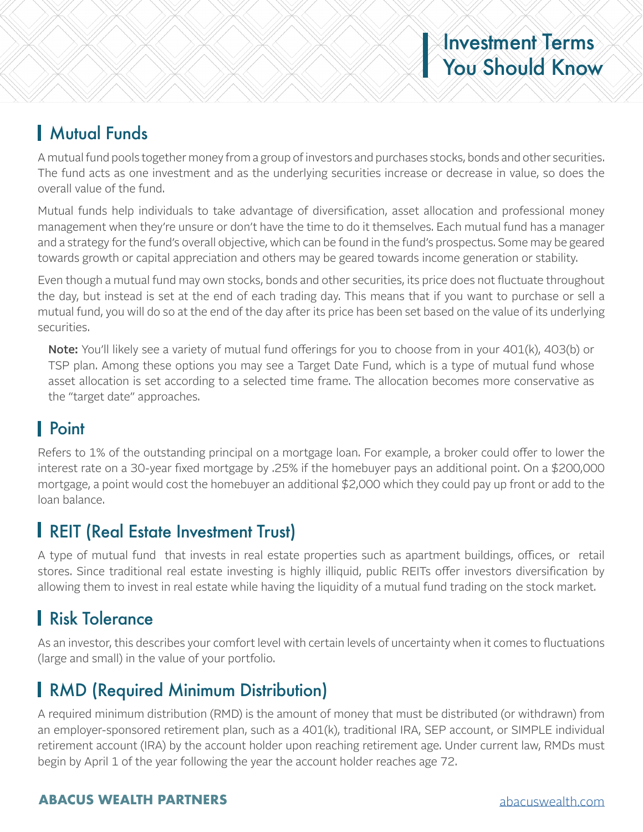# Investment Terms You Should Know

#### Mutual Funds

A mutual fund pools together money from a group of investors and purchases stocks, bonds and other securities. The fund acts as one investment and as the underlying securities increase or decrease in value, so does the overall value of the fund.

Mutual funds help individuals to take advantage of diversification, asset allocation and professional money management when they're unsure or don't have the time to do it themselves. Each mutual fund has a manager and a strategy for the fund's overall objective, which can be found in the fund's prospectus. Some may be geared towards growth or capital appreciation and others may be geared towards income generation or stability.

Even though a mutual fund may own stocks, bonds and other securities, its price does not fluctuate throughout the day, but instead is set at the end of each trading day. This means that if you want to purchase or sell a mutual fund, you will do so at the end of the day after its price has been set based on the value of its underlying securities.

Note: You'll likely see a variety of mutual fund offerings for you to choose from in your 401(k), 403(b) or TSP plan. Among these options you may see a Target Date Fund, which is a type of mutual fund whose asset allocation is set according to a selected time frame. The allocation becomes more conservative as the "target date" approaches.

# Point

Refers to 1% of the outstanding principal on a mortgage loan. For example, a broker could offer to lower the interest rate on a 30-year fixed mortgage by .25% if the homebuyer pays an additional point. On a \$200,000 mortgage, a point would cost the homebuyer an additional \$2,000 which they could pay up front or add to the loan balance.

#### **I REIT (Real Estate Investment Trust)**

A type of mutual fund that invests in real estate properties such as apartment buildings, offices, or retail stores. Since traditional real estate investing is highly illiquid, public REITs offer investors diversification by allowing them to invest in real estate while having the liquidity of a mutual fund trading on the stock market.

# **Risk Tolerance**

As an investor, this describes your comfort level with certain levels of uncertainty when it comes to fluctuations (large and small) in the value of your portfolio.

# **RMD (Required Minimum Distribution)**

A required minimum distribution (RMD) is the amount of money that must be distributed (or withdrawn) from an employer-sponsored retirement plan, such as a 401(k), traditional IRA, SEP account, or SIMPLE individual retirement account (IRA) by the account holder upon reaching retirement age. Under current law, RMDs must begin by April 1 of the year following the year the account holder reaches age 72.

#### **ABACUS WEALTH PARTNERS** abacuswealth.com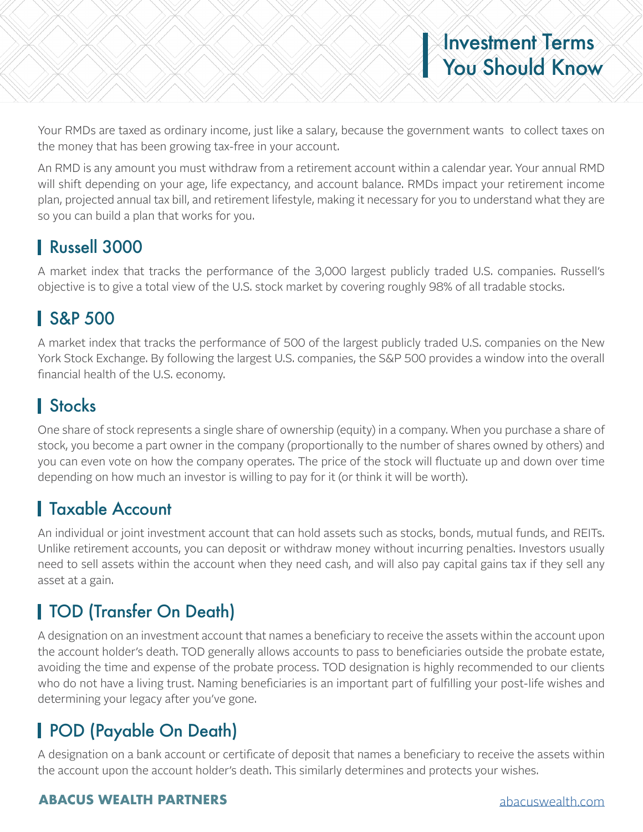Your RMDs are taxed as ordinary income, just like a salary, because the government wants to collect taxes on the money that has been growing tax-free in your account.

An RMD is any amount you must withdraw from a retirement account within a calendar year. Your annual RMD will shift depending on your age, life expectancy, and account balance. RMDs impact your retirement income plan, projected annual tax bill, and retirement lifestyle, making it necessary for you to understand what they are so you can build a plan that works for you.

# Russell 3000

A market index that tracks the performance of the 3,000 largest publicly traded U.S. companies. Russell's objective is to give a total view of the U.S. stock market by covering roughly 98% of all tradable stocks.

#### S&P 500

A market index that tracks the performance of 500 of the largest publicly traded U.S. companies on the New York Stock Exchange. By following the largest U.S. companies, the S&P 500 provides a window into the overall financial health of the U.S. economy.

# **I** Stocks

One share of stock represents a single share of ownership (equity) in a company. When you purchase a share of stock, you become a part owner in the company (proportionally to the number of shares owned by others) and you can even vote on how the company operates. The price of the stock will fluctuate up and down over time depending on how much an investor is willing to pay for it (or think it will be worth).

#### Taxable Account

An individual or joint investment account that can hold assets such as stocks, bonds, mutual funds, and REITs. Unlike retirement accounts, you can deposit or withdraw money without incurring penalties. Investors usually need to sell assets within the account when they need cash, and will also pay capital gains tax if they sell any asset at a gain.

# TOD (Transfer On Death)

A designation on an investment account that names a beneficiary to receive the assets within the account upon the account holder's death. TOD generally allows accounts to pass to beneficiaries outside the probate estate, avoiding the time and expense of the probate process. TOD designation is highly recommended to our clients who do not have a living trust. Naming beneficiaries is an important part of fulfilling your post-life wishes and determining your legacy after you've gone.

# POD (Payable On Death)

A designation on a bank account or certificate of deposit that names a beneficiary to receive the assets within the account upon the account holder's death. This similarly determines and protects your wishes.

#### **ABACUS WEALTH PARTNERS** abacuswealth.com